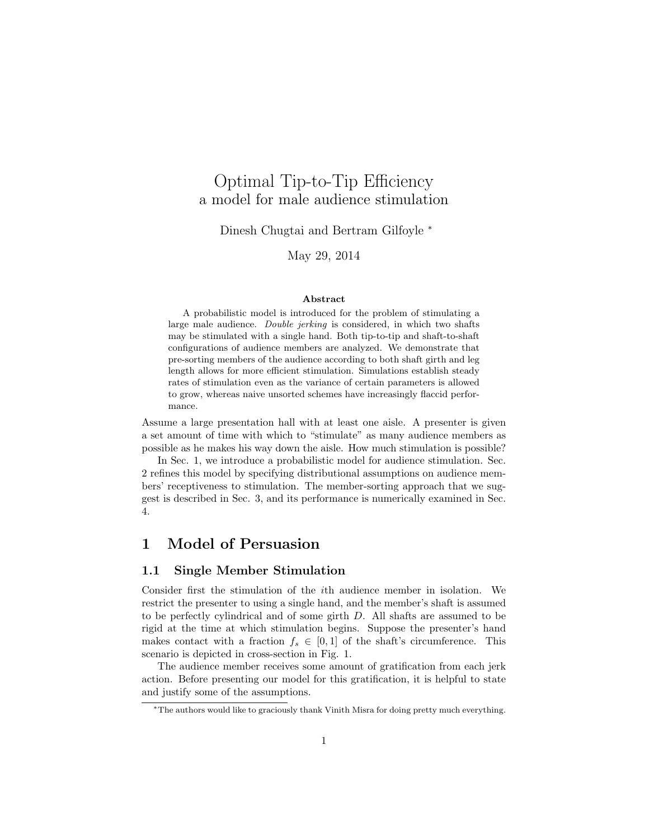# Optimal Tip-to-Tip Efficiency a model for male audience stimulation

Dinesh Chugtai and Bertram Gilfoyle <sup>∗</sup>

May 29, 2014

#### Abstract

A probabilistic model is introduced for the problem of stimulating a large male audience. Double jerking is considered, in which two shafts may be stimulated with a single hand. Both tip-to-tip and shaft-to-shaft configurations of audience members are analyzed. We demonstrate that pre-sorting members of the audience according to both shaft girth and leg length allows for more efficient stimulation. Simulations establish steady rates of stimulation even as the variance of certain parameters is allowed to grow, whereas naive unsorted schemes have increasingly flaccid performance.

Assume a large presentation hall with at least one aisle. A presenter is given a set amount of time with which to "stimulate" as many audience members as possible as he makes his way down the aisle. How much stimulation is possible?

In Sec. 1, we introduce a probabilistic model for audience stimulation. Sec. 2 refines this model by specifying distributional assumptions on audience members' receptiveness to stimulation. The member-sorting approach that we suggest is described in Sec. 3, and its performance is numerically examined in Sec. 4.

## 1 Model of Persuasion

#### 1.1 Single Member Stimulation

Consider first the stimulation of the ith audience member in isolation. We restrict the presenter to using a single hand, and the member's shaft is assumed to be perfectly cylindrical and of some girth D. All shafts are assumed to be rigid at the time at which stimulation begins. Suppose the presenter's hand makes contact with a fraction  $f_s \in [0,1]$  of the shaft's circumference. This scenario is depicted in cross-section in Fig. 1.

The audience member receives some amount of gratification from each jerk action. Before presenting our model for this gratification, it is helpful to state and justify some of the assumptions.

<sup>∗</sup>The authors would like to graciously thank Vinith Misra for doing pretty much everything.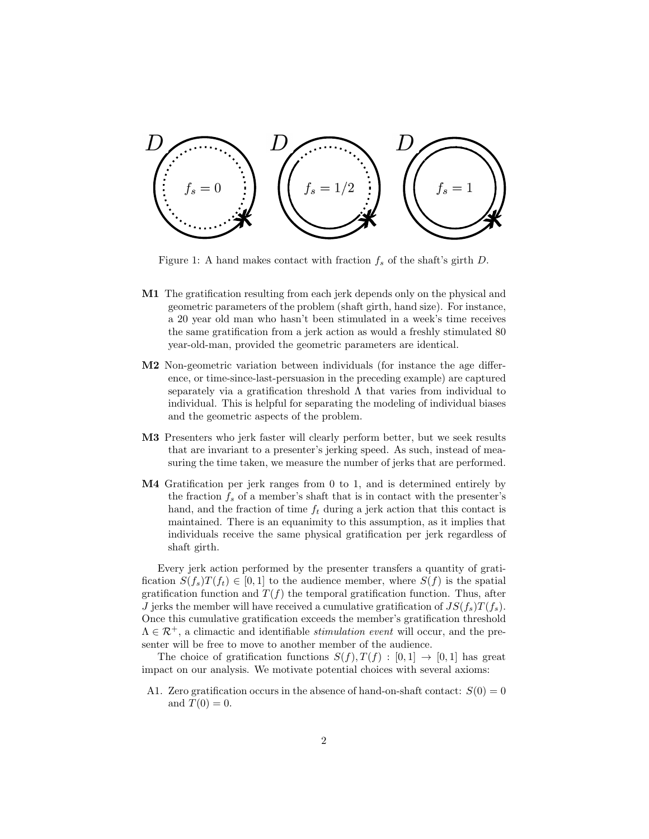

Figure 1: A hand makes contact with fraction  $f_s$  of the shaft's girth D.

- M1 The gratification resulting from each jerk depends only on the physical and geometric parameters of the problem (shaft girth, hand size). For instance, a 20 year old man who hasn't been stimulated in a week's time receives the same gratification from a jerk action as would a freshly stimulated 80 year-old-man, provided the geometric parameters are identical.
- M2 Non-geometric variation between individuals (for instance the age difference, or time-since-last-persuasion in the preceding example) are captured separately via a gratification threshold  $\Lambda$  that varies from individual to individual. This is helpful for separating the modeling of individual biases and the geometric aspects of the problem.
- M3 Presenters who jerk faster will clearly perform better, but we seek results that are invariant to a presenter's jerking speed. As such, instead of measuring the time taken, we measure the number of jerks that are performed.
- M4 Gratification per jerk ranges from 0 to 1, and is determined entirely by the fraction  $f_s$  of a member's shaft that is in contact with the presenter's hand, and the fraction of time  $f_t$  during a jerk action that this contact is maintained. There is an equanimity to this assumption, as it implies that individuals receive the same physical gratification per jerk regardless of shaft girth.

Every jerk action performed by the presenter transfers a quantity of gratification  $S(f_s)T(f_t) \in [0,1]$  to the audience member, where  $S(f)$  is the spatial gratification function and  $T(f)$  the temporal gratification function. Thus, after J jerks the member will have received a cumulative gratification of  $JS(f_s)T(f_s)$ . Once this cumulative gratification exceeds the member's gratification threshold  $\Lambda \in \mathcal{R}^+$ , a climactic and identifiable *stimulation event* will occur, and the presenter will be free to move to another member of the audience.

The choice of gratification functions  $S(f), T(f) : [0,1] \rightarrow [0,1]$  has great impact on our analysis. We motivate potential choices with several axioms:

A1. Zero gratification occurs in the absence of hand-on-shaft contact:  $S(0) = 0$ and  $T(0) = 0$ .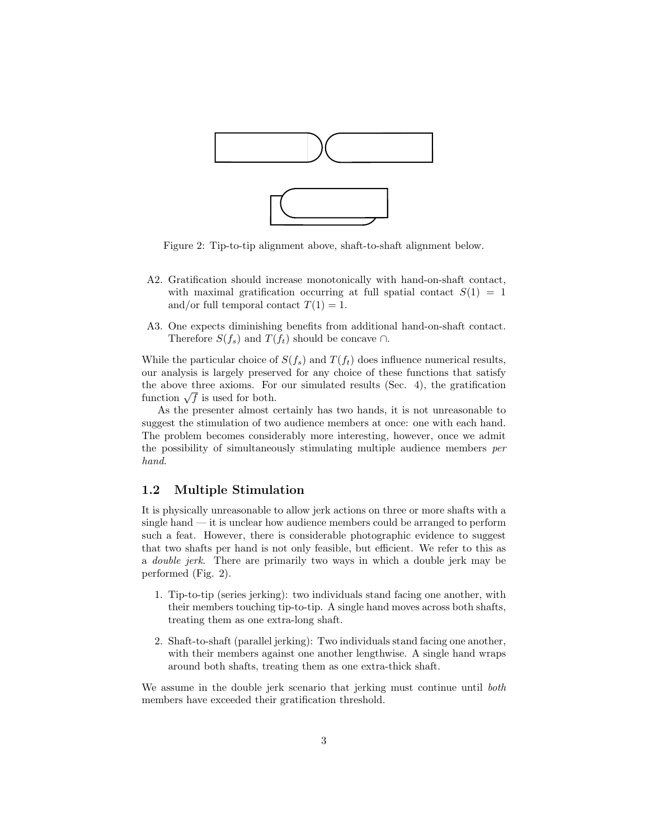

Figure 2: Tip-to-tip alignment above, shaft-to-shaft alignment below.

- A2. Gratification should increase monotonically with hand-on-shaft contact, with maximal gratification occurring at full spatial contact  $S(1) = 1$ and/or full temporal contact  $T(1) = 1$ .
- A3. One expects diminishing benefits from additional hand-on-shaft contact. Therefore  $S(f_s)$  and  $T(f_t)$  should be concave ∩.

While the particular choice of  $S(f_s)$  and  $T(f_t)$  does influence numerical results, our analysis is largely preserved for any choice of these functions that satisfy the above three axioms. For our simulated results (Sec. 4), the gratification the above three axioms. For<br>function  $\sqrt{f}$  is used for both.

As the presenter almost certainly has two hands, it is not unreasonable to suggest the stimulation of two audience members at once: one with each hand. The problem becomes considerably more interesting, however, once we admit the possibility of simultaneously stimulating multiple audience members per hand.

#### 1.2 Multiple Stimulation

It is physically unreasonable to allow jerk actions on three or more shafts with a single hand — it is unclear how audience members could be arranged to perform such a feat. However, there is considerable photographic evidence to suggest that two shafts per hand is not only feasible, but efficient. We refer to this as a double jerk. There are primarily two ways in which a double jerk may be performed (Fig. 2).

- 1. Tip-to-tip (series jerking): two individuals stand facing one another, with their members touching tip-to-tip. A single hand moves across both shafts, treating them as one extra-long shaft.
- 2. Shaft-to-shaft (parallel jerking): Two individuals stand facing one another, with their members against one another lengthwise. A single hand wraps around both shafts, treating them as one extra-thick shaft.

We assume in the double jerk scenario that jerking must continue until both members have exceeded their gratification threshold.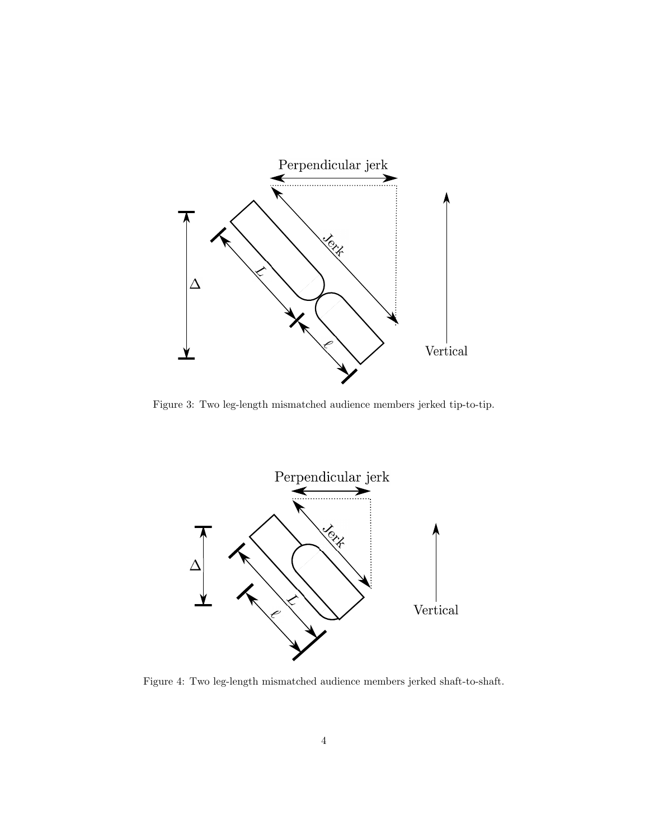

Figure 3: Two leg-length mismatched audience members jerked tip-to-tip.



Figure 4: Two leg-length mismatched audience members jerked shaft-to-shaft.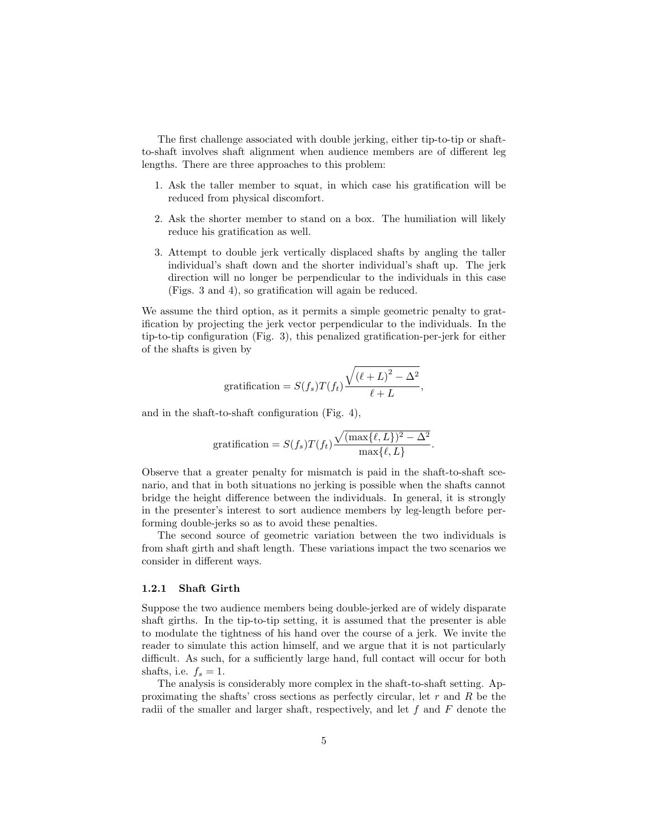The first challenge associated with double jerking, either tip-to-tip or shaftto-shaft involves shaft alignment when audience members are of different leg lengths. There are three approaches to this problem:

- 1. Ask the taller member to squat, in which case his gratification will be reduced from physical discomfort.
- 2. Ask the shorter member to stand on a box. The humiliation will likely reduce his gratification as well.
- 3. Attempt to double jerk vertically displaced shafts by angling the taller individual's shaft down and the shorter individual's shaft up. The jerk direction will no longer be perpendicular to the individuals in this case (Figs. 3 and 4), so gratification will again be reduced.

We assume the third option, as it permits a simple geometric penalty to gratification by projecting the jerk vector perpendicular to the individuals. In the tip-to-tip configuration (Fig. 3), this penalized gratification-per-jerk for either of the shafts is given by

$$
\text{gratification} = S(f_s)T(f_t)\frac{\sqrt{(\ell+L)^2-\Delta^2}}{\ell+L},
$$

and in the shaft-to-shaft configuration (Fig. 4),

$$
\text{gratification} = S(f_s)T(f_t)\frac{\sqrt{(\max\{\ell, L\})^2 - \Delta^2}}{\max\{\ell, L\}}.
$$

Observe that a greater penalty for mismatch is paid in the shaft-to-shaft scenario, and that in both situations no jerking is possible when the shafts cannot bridge the height difference between the individuals. In general, it is strongly in the presenter's interest to sort audience members by leg-length before performing double-jerks so as to avoid these penalties.

The second source of geometric variation between the two individuals is from shaft girth and shaft length. These variations impact the two scenarios we consider in different ways.

#### 1.2.1 Shaft Girth

Suppose the two audience members being double-jerked are of widely disparate shaft girths. In the tip-to-tip setting, it is assumed that the presenter is able to modulate the tightness of his hand over the course of a jerk. We invite the reader to simulate this action himself, and we argue that it is not particularly difficult. As such, for a sufficiently large hand, full contact will occur for both shafts, i.e.  $f_s = 1$ .

The analysis is considerably more complex in the shaft-to-shaft setting. Approximating the shafts' cross sections as perfectly circular, let  $r$  and  $R$  be the radii of the smaller and larger shaft, respectively, and let  $f$  and  $F$  denote the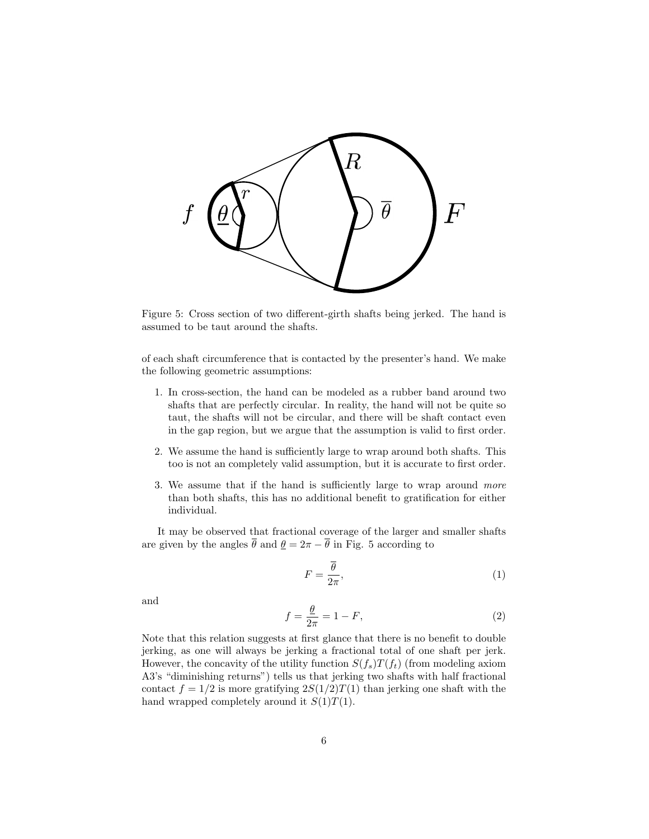

Figure 5: Cross section of two different-girth shafts being jerked. The hand is assumed to be taut around the shafts.

of each shaft circumference that is contacted by the presenter's hand. We make the following geometric assumptions:

- 1. In cross-section, the hand can be modeled as a rubber band around two shafts that are perfectly circular. In reality, the hand will not be quite so taut, the shafts will not be circular, and there will be shaft contact even in the gap region, but we argue that the assumption is valid to first order.
- 2. We assume the hand is sufficiently large to wrap around both shafts. This too is not an completely valid assumption, but it is accurate to first order.
- 3. We assume that if the hand is sufficiently large to wrap around more than both shafts, this has no additional benefit to gratification for either individual.

It may be observed that fractional coverage of the larger and smaller shafts are given by the angles  $\bar{\theta}$  and  $\theta = 2\pi - \bar{\theta}$  in Fig. 5 according to

$$
F = \frac{\overline{\theta}}{2\pi},\tag{1}
$$

and

$$
f = \frac{\theta}{2\pi} = 1 - F,\tag{2}
$$

Note that this relation suggests at first glance that there is no benefit to double jerking, as one will always be jerking a fractional total of one shaft per jerk. However, the concavity of the utility function  $S(f_s)T(f_t)$  (from modeling axiom A3's "diminishing returns") tells us that jerking two shafts with half fractional contact  $f = 1/2$  is more gratifying  $2S(1/2)T(1)$  than jerking one shaft with the hand wrapped completely around it  $S(1)T(1)$ .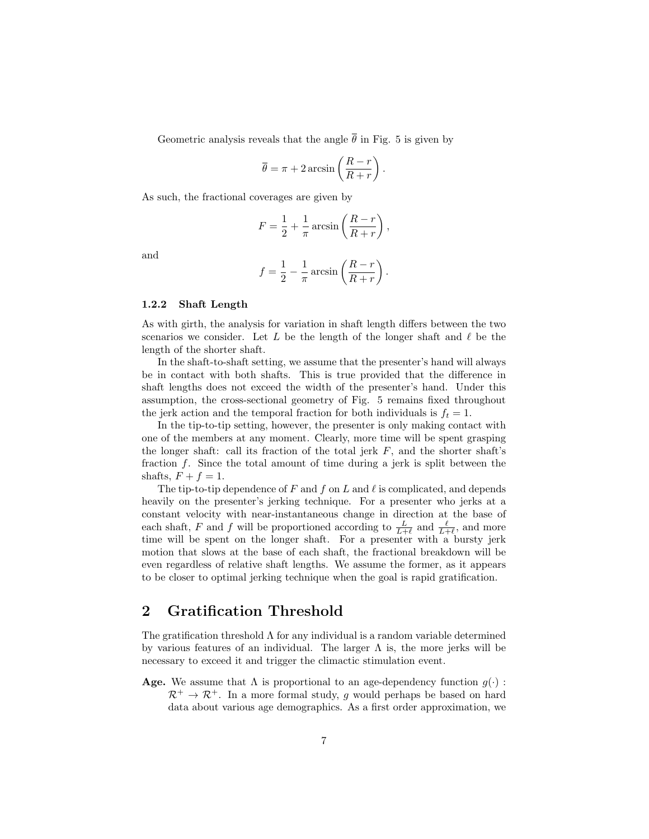Geometric analysis reveals that the angle  $\bar{\theta}$  in Fig. 5 is given by

$$
\overline{\theta} = \pi + 2 \arcsin\left(\frac{R-r}{R+r}\right).
$$

As such, the fractional coverages are given by

$$
F = \frac{1}{2} + \frac{1}{\pi} \arcsin\left(\frac{R-r}{R+r}\right),\,
$$

and

$$
f = \frac{1}{2} - \frac{1}{\pi} \arcsin\left(\frac{R-r}{R+r}\right).
$$

#### 1.2.2 Shaft Length

As with girth, the analysis for variation in shaft length differs between the two scenarios we consider. Let  $L$  be the length of the longer shaft and  $\ell$  be the length of the shorter shaft.

In the shaft-to-shaft setting, we assume that the presenter's hand will always be in contact with both shafts. This is true provided that the difference in shaft lengths does not exceed the width of the presenter's hand. Under this assumption, the cross-sectional geometry of Fig. 5 remains fixed throughout the jerk action and the temporal fraction for both individuals is  $f_t = 1$ .

In the tip-to-tip setting, however, the presenter is only making contact with one of the members at any moment. Clearly, more time will be spent grasping the longer shaft: call its fraction of the total jerk  $F$ , and the shorter shaft's fraction f. Since the total amount of time during a jerk is split between the shafts,  $F + f = 1$ .

The tip-to-tip dependence of F and f on L and  $\ell$  is complicated, and depends heavily on the presenter's jerking technique. For a presenter who jerks at a constant velocity with near-instantaneous change in direction at the base of each shaft, F and f will be proportioned according to  $\frac{L}{L+\ell}$  and  $\frac{\ell}{L+\ell}$ , and more time will be spent on the longer shaft. For a presenter with a bursty jerk motion that slows at the base of each shaft, the fractional breakdown will be even regardless of relative shaft lengths. We assume the former, as it appears to be closer to optimal jerking technique when the goal is rapid gratification.

### 2 Gratification Threshold

The gratification threshold  $\Lambda$  for any individual is a random variable determined by various features of an individual. The larger  $\Lambda$  is, the more jerks will be necessary to exceed it and trigger the climactic stimulation event.

**Age.** We assume that  $\Lambda$  is proportional to an age-dependency function  $g(\cdot)$ :  $\mathcal{R}^+ \to \mathcal{R}^+$ . In a more formal study, g would perhaps be based on hard data about various age demographics. As a first order approximation, we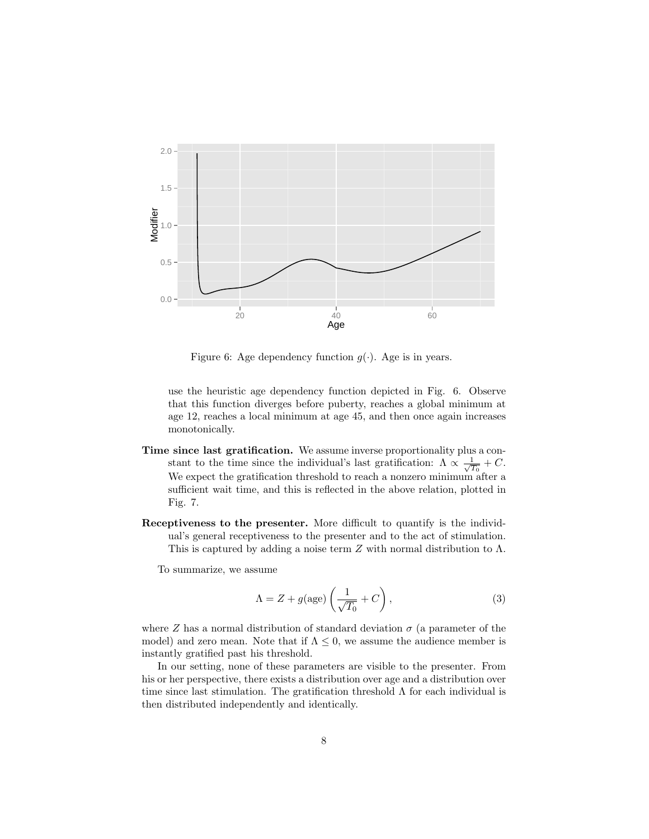

Figure 6: Age dependency function  $g(\cdot)$ . Age is in years.

use the heuristic age dependency function depicted in Fig. 6. Observe that this function diverges before puberty, reaches a global minimum at age 12, reaches a local minimum at age 45, and then once again increases monotonically.

- Time since last gratification. We assume inverse proportionality plus a constant to the time since the individual's last gratification:  $\Lambda \propto \frac{1}{\sqrt{2}}$  $rac{1}{T_0}+C.$ We expect the gratification threshold to reach a nonzero minimum after a sufficient wait time, and this is reflected in the above relation, plotted in Fig. 7.
- Receptiveness to the presenter. More difficult to quantify is the individual's general receptiveness to the presenter and to the act of stimulation. This is captured by adding a noise term  $Z$  with normal distribution to  $\Lambda$ .

To summarize, we assume

$$
\Lambda = Z + g(\text{age}) \left( \frac{1}{\sqrt{T_0}} + C \right),\tag{3}
$$

where Z has a normal distribution of standard deviation  $\sigma$  (a parameter of the model) and zero mean. Note that if  $\Lambda \leq 0$ , we assume the audience member is instantly gratified past his threshold.

In our setting, none of these parameters are visible to the presenter. From his or her perspective, there exists a distribution over age and a distribution over time since last stimulation. The gratification threshold  $\Lambda$  for each individual is then distributed independently and identically.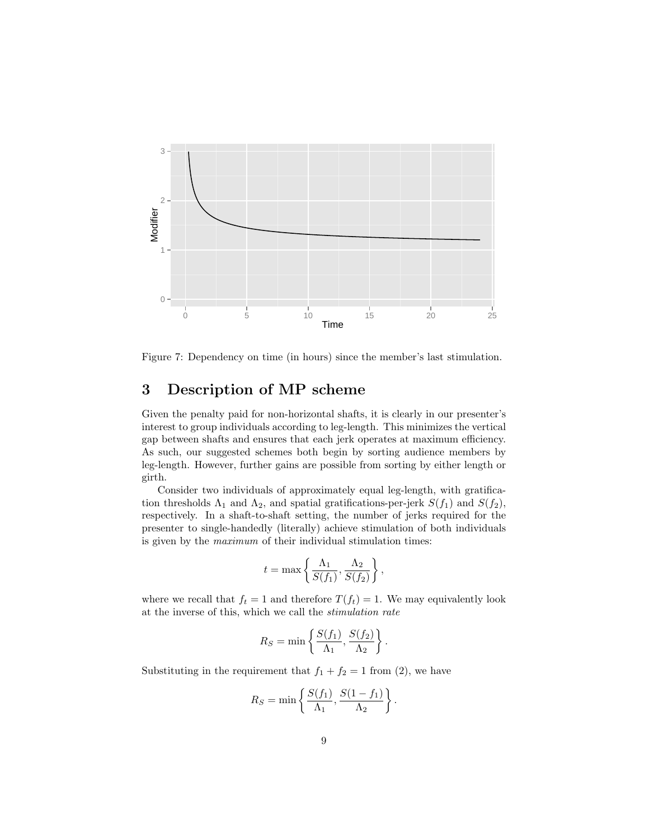

Figure 7: Dependency on time (in hours) since the member's last stimulation.

# 3 Description of MP scheme

Given the penalty paid for non-horizontal shafts, it is clearly in our presenter's interest to group individuals according to leg-length. This minimizes the vertical gap between shafts and ensures that each jerk operates at maximum efficiency. As such, our suggested schemes both begin by sorting audience members by leg-length. However, further gains are possible from sorting by either length or girth.

Consider two individuals of approximately equal leg-length, with gratification thresholds  $\Lambda_1$  and  $\Lambda_2$ , and spatial gratifications-per-jerk  $S(f_1)$  and  $S(f_2)$ , respectively. In a shaft-to-shaft setting, the number of jerks required for the presenter to single-handedly (literally) achieve stimulation of both individuals is given by the maximum of their individual stimulation times:

$$
t = \max\left\{\frac{\Lambda_1}{S(f_1)}, \frac{\Lambda_2}{S(f_2)}\right\},\,
$$

where we recall that  $f_t = 1$  and therefore  $T(f_t) = 1$ . We may equivalently look at the inverse of this, which we call the stimulation rate

$$
R_S = \min\left\{\frac{S(f_1)}{\Lambda_1}, \frac{S(f_2)}{\Lambda_2}\right\}.
$$

Substituting in the requirement that  $f_1 + f_2 = 1$  from (2), we have

$$
R_S = \min\left\{\frac{S(f_1)}{\Lambda_1}, \frac{S(1-f_1)}{\Lambda_2}\right\}.
$$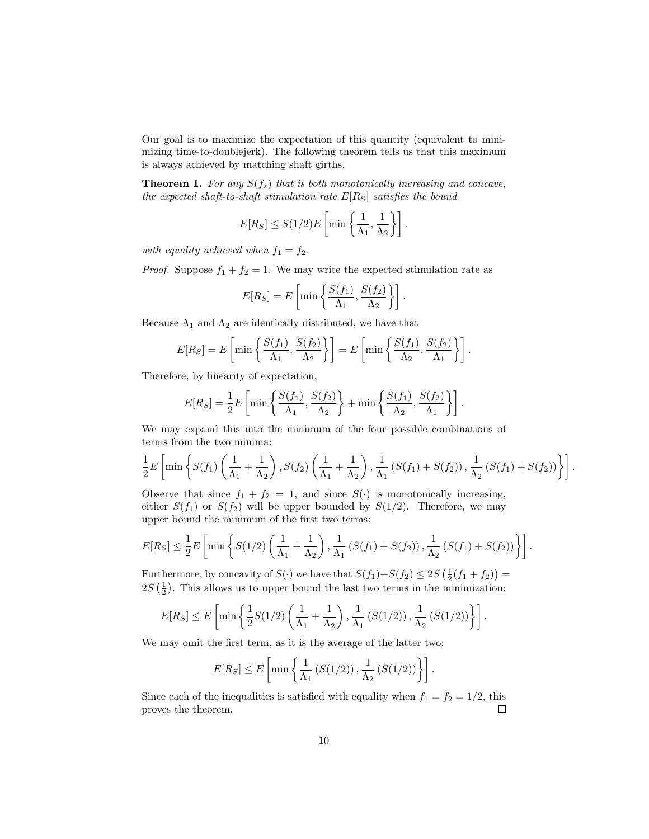Our goal is to maximize the expectation of this quantity (equivalent to minimizing time-to-doublejerk). The following theorem tells us that this maximum is always achieved by matching shaft girths.

**Theorem 1.** For any  $S(f_s)$  that is both monotonically increasing and concave, the expected shaft-to-shaft stimulation rate  $E[R_S]$  satisfies the bound

$$
E[R_S] \leq S(1/2)E\left[\min\left\{\frac{1}{\Lambda_1},\frac{1}{\Lambda_2}\right\}\right].
$$

with equality achieved when  $f_1 = f_2$ .

*Proof.* Suppose  $f_1 + f_2 = 1$ . We may write the expected stimulation rate as

$$
E[R_S] = E\left[\min\left\{\frac{S(f_1)}{\Lambda_1}, \frac{S(f_2)}{\Lambda_2}\right\}\right].
$$

Because  $\Lambda_1$  and  $\Lambda_2$  are identically distributed, we have that

$$
E[R_S] = E\left[\min\left\{\frac{S(f_1)}{\Lambda_1}, \frac{S(f_2)}{\Lambda_2}\right\}\right] = E\left[\min\left\{\frac{S(f_1)}{\Lambda_2}, \frac{S(f_2)}{\Lambda_1}\right\}\right].
$$

Therefore, by linearity of expectation,

$$
E[R_S] = \frac{1}{2}E\left[\min\left\{\frac{S(f_1)}{\Lambda_1}, \frac{S(f_2)}{\Lambda_2}\right\} + \min\left\{\frac{S(f_1)}{\Lambda_2}, \frac{S(f_2)}{\Lambda_1}\right\}\right].
$$

We may expand this into the minimum of the four possible combinations of terms from the two minima:

$$
\frac{1}{2}E\left[\min\left\{S(f_1)\left(\frac{1}{\Lambda_1}+\frac{1}{\Lambda_2}\right),S(f_2)\left(\frac{1}{\Lambda_1}+\frac{1}{\Lambda_2}\right),\frac{1}{\Lambda_1}\left(S(f_1)+S(f_2)\right),\frac{1}{\Lambda_2}\left(S(f_1)+S(f_2)\right)\right\}\right].
$$

Observe that since  $f_1 + f_2 = 1$ , and since  $S(\cdot)$  is monotonically increasing, either  $S(f_1)$  or  $S(f_2)$  will be upper bounded by  $S(1/2)$ . Therefore, we may upper bound the minimum of the first two terms:

$$
E[R_S] \leq \frac{1}{2} E\left[\min\left\{S(1/2)\left(\frac{1}{\Lambda_1} + \frac{1}{\Lambda_2}\right), \frac{1}{\Lambda_1}\left(S(f_1) + S(f_2)\right), \frac{1}{\Lambda_2}\left(S(f_1) + S(f_2)\right)\right\}\right].
$$

Furthermore, by concavity of  $S(\cdot)$  we have that  $S(f_1)+S(f_2) \leq 2S\left(\frac{1}{2}(f_1+f_2)\right)$  $2S\left(\frac{1}{2}\right)$ . This allows us to upper bound the last two terms in the minimization:

$$
E[R_S] \leq E\left[\min\left\{\frac{1}{2}S(1/2)\left(\frac{1}{\Lambda_1} + \frac{1}{\Lambda_2}\right), \frac{1}{\Lambda_1}\left(S(1/2)\right), \frac{1}{\Lambda_2}\left(S(1/2)\right)\right\}\right].
$$

We may omit the first term, as it is the average of the latter two:

$$
E[R_S] \le E\left[\min\left\{\frac{1}{\Lambda_1}\left(S(1/2)\right), \frac{1}{\Lambda_2}\left(S(1/2)\right)\right\}\right].
$$

Since each of the inequalities is satisfied with equality when  $f_1 = f_2 = 1/2$ , this proves the theorem.  $\Box$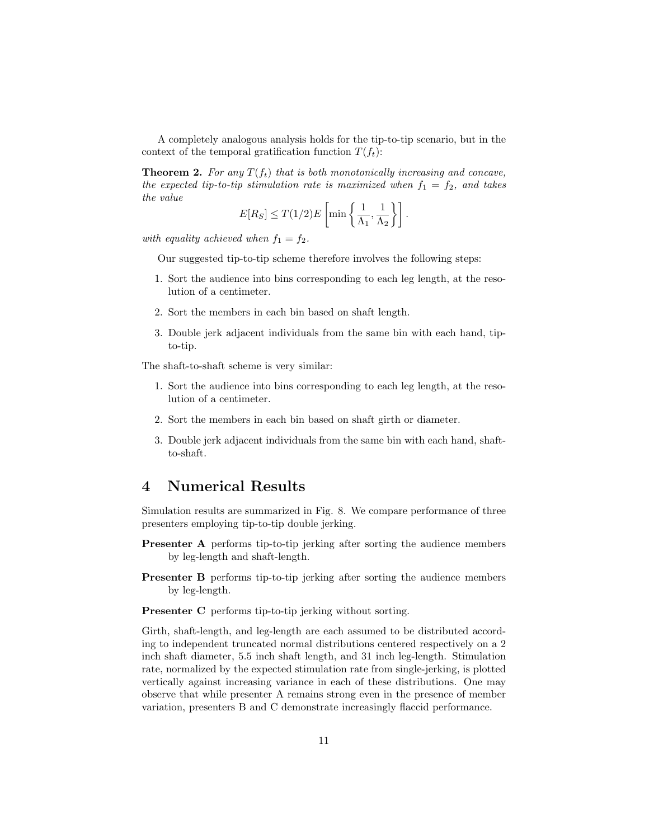A completely analogous analysis holds for the tip-to-tip scenario, but in the context of the temporal gratification function  $T(f_t)$ :

**Theorem 2.** For any  $T(f_t)$  that is both monotonically increasing and concave, the expected tip-to-tip stimulation rate is maximized when  $f_1 = f_2$ , and takes the value

$$
E[R_S] \leq T(1/2)E\left[\min\left\{\frac{1}{\Lambda_1},\frac{1}{\Lambda_2}\right\}\right].
$$

with equality achieved when  $f_1 = f_2$ .

Our suggested tip-to-tip scheme therefore involves the following steps:

- 1. Sort the audience into bins corresponding to each leg length, at the resolution of a centimeter.
- 2. Sort the members in each bin based on shaft length.
- 3. Double jerk adjacent individuals from the same bin with each hand, tipto-tip.

The shaft-to-shaft scheme is very similar:

- 1. Sort the audience into bins corresponding to each leg length, at the resolution of a centimeter.
- 2. Sort the members in each bin based on shaft girth or diameter.
- 3. Double jerk adjacent individuals from the same bin with each hand, shaftto-shaft.

### 4 Numerical Results

Simulation results are summarized in Fig. 8. We compare performance of three presenters employing tip-to-tip double jerking.

- Presenter A performs tip-to-tip jerking after sorting the audience members by leg-length and shaft-length.
- Presenter B performs tip-to-tip jerking after sorting the audience members by leg-length.

Presenter C performs tip-to-tip jerking without sorting.

Girth, shaft-length, and leg-length are each assumed to be distributed according to independent truncated normal distributions centered respectively on a 2 inch shaft diameter, 5.5 inch shaft length, and 31 inch leg-length. Stimulation rate, normalized by the expected stimulation rate from single-jerking, is plotted vertically against increasing variance in each of these distributions. One may observe that while presenter A remains strong even in the presence of member variation, presenters B and C demonstrate increasingly flaccid performance.